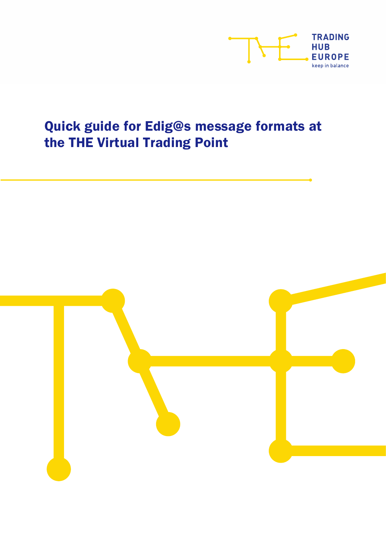

# Quick guide for Edig@s message formats at the THE Virtual Trading Point

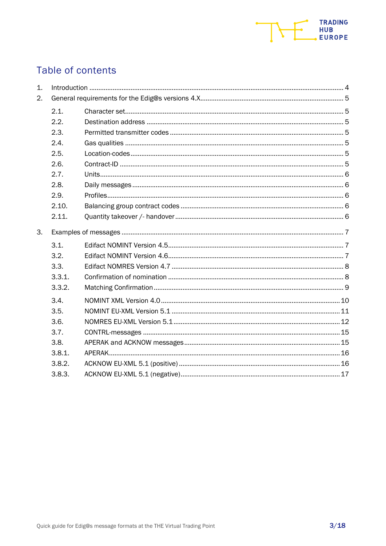

# Table of contents

| 1. |        |  |
|----|--------|--|
| 2. |        |  |
|    | 2.1.   |  |
|    | 2.2.   |  |
|    | 2.3.   |  |
|    | 2.4.   |  |
|    | 2.5.   |  |
|    | 2.6.   |  |
|    | 2.7.   |  |
|    | 2.8.   |  |
|    | 2.9.   |  |
|    | 2.10.  |  |
|    | 2.11.  |  |
| 3. |        |  |
|    | 3.1.   |  |
|    | 3.2.   |  |
|    | 3.3.   |  |
|    | 3.3.1. |  |
|    | 3.3.2. |  |
|    | 3.4.   |  |
|    | 3.5.   |  |
|    | 3.6.   |  |
|    | 3.7.   |  |
|    | 3.8.   |  |
|    | 3.8.1. |  |
|    | 3.8.2. |  |
|    | 3.8.3. |  |
|    |        |  |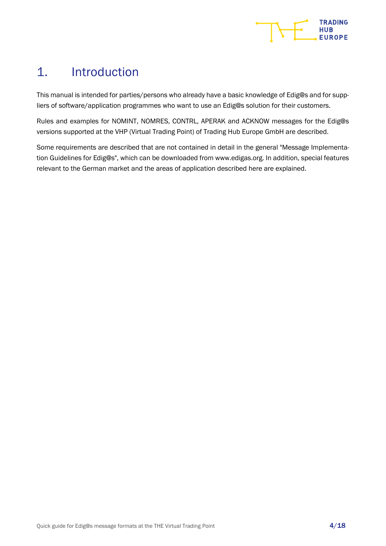

# <span id="page-3-0"></span>1. Introduction

This manual is intended for parties/persons who already have a basic knowledge of Edig@s and for suppliers of software/application programmes who want to use an Edig@s solution for their customers.

Rules and examples for NOMINT, NOMRES, CONTRL, APERAK and ACKNOW messages for the Edig@s versions supported at the VHP (Virtual Trading Point) of Trading Hub Europe GmbH are described.

Some requirements are described that are not contained in detail in the general "Message Implementation Guidelines for Edig@s", which can be downloaded from www.edigas.org. In addition, special features relevant to the German market and the areas of application described here are explained.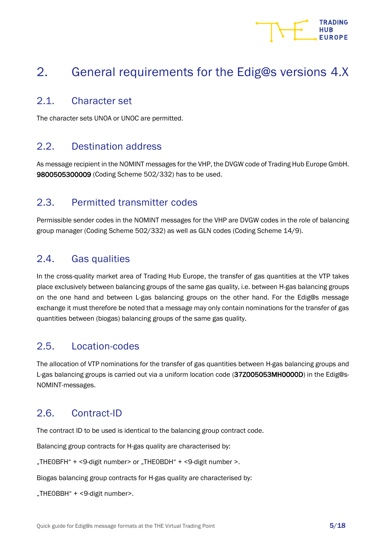# **HUR**

# <span id="page-4-0"></span>2. General requirements for the Edig@s versions 4.X

### <span id="page-4-1"></span>2.1. Character set

The character sets UNOA or UNOC are permitted.

# <span id="page-4-2"></span>2.2. Destination address

As message recipient in the NOMINT messages for the VHP, the DVGW code of Trading Hub Europe GmbH. 9800505300009 (Coding Scheme 502/332) has to be used.

# <span id="page-4-3"></span>2.3. Permitted transmitter codes

Permissible sender codes in the NOMINT messages for the VHP are DVGW codes in the role of balancing group manager (Coding Scheme 502/332) as well as GLN codes (Coding Scheme 14/9).

# <span id="page-4-4"></span>2.4. Gas qualities

In the cross-quality market area of Trading Hub Europe, the transfer of gas quantities at the VTP takes place exclusively between balancing groups of the same gas quality, i.e. between H-gas balancing groups on the one hand and between L-gas balancing groups on the other hand. For the Edig@s message exchange it must therefore be noted that a message may only contain nominations for the transfer of gas quantities between (biogas) balancing groups of the same gas quality.

# <span id="page-4-5"></span>2.5. Location-codes

The allocation of VTP nominations for the transfer of gas quantities between H-gas balancing groups and L-gas balancing groups is carried out via a uniform location code (37Z005053MH0000D) in the Edig@s-NOMINT-messages.

# <span id="page-4-6"></span>2.6. Contract-ID

The contract ID to be used is identical to the balancing group contract code.

Balancing group contracts for H-gas quality are characterised by:

"THEOBFH" + <9-digit number> or "THEOBDH" + <9-digit number >.

Biogas balancing group contracts for H-gas quality are characterised by:

"THEOBBH" + <9-digit number>.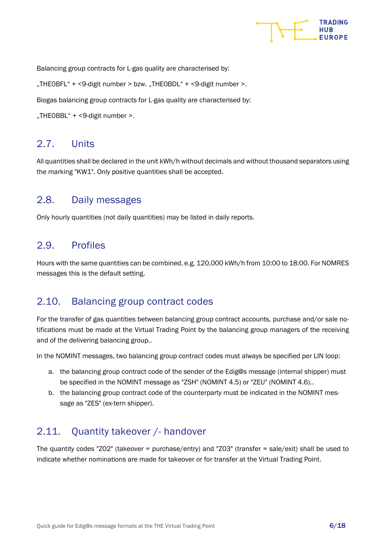

Balancing group contracts for L-gas quality are characterised by:

"THE0BFL" + <9-digit number > bzw. "THE0BDL" + <9-digit number >.

Biogas balancing group contracts for L-gas quality are characterised by:

"THEOBBL" + <9-digit number >.

### <span id="page-5-0"></span>2.7. Units

All quantities shall be declared in the unit kWh/h without decimals and without thousand separators using the marking "KW1". Only positive quantities shall be accepted.

### <span id="page-5-1"></span>2.8. Daily messages

Only hourly quantities (not daily quantities) may be listed in daily reports.

### <span id="page-5-2"></span>2.9. Profiles

Hours with the same quantities can be combined, e.g. 120,000 kWh/h from 10:00 to 18:00. For NOMRES messages this is the default setting.

#### <span id="page-5-3"></span>2.10. Balancing group contract codes

For the transfer of gas quantities between balancing group contract accounts, purchase and/or sale notifications must be made at the Virtual Trading Point by the balancing group managers of the receiving and of the delivering balancing group..

In the NOMINT messages, two balancing group contract codes must always be specified per LIN loop:

- a. the balancing group contract code of the sender of the Edig@s message (internal shipper) must be specified in the NOMINT message as "ZSH" (NOMINT 4.5) or "ZEU" (NOMINT 4.6)..
- b. the balancing group contract code of the counterparty must be indicated in the NOMINT message as "ZES" (ex-tern shipper).

### <span id="page-5-4"></span>2.11. Quantity takeover /- handover

The quantity codes "Z02" (takeover = purchase/entry) and "Z03" (transfer = sale/exit) shall be used to indicate whether nominations are made for takeover or for transfer at the Virtual Trading Point.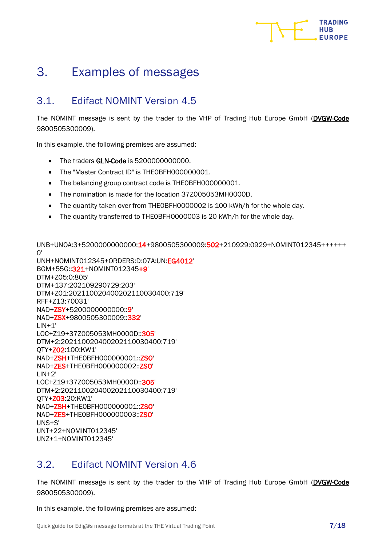

# <span id="page-6-0"></span>3. Examples of messages

# <span id="page-6-1"></span>3.1. Edifact NOMINT Version 4.5

The NOMINT message is sent by the trader to the VHP of Trading Hub Europe GmbH (DVGW-Code 9800505300009).

In this example, the following premises are assumed:

- The traders GLN-Code is 5200000000000.
- The "Master Contract ID" is THE0BFH000000001.
- The balancing group contract code is THE0BFH000000001.
- The nomination is made for the location 37Z005053MH0000D.
- The quantity taken over from THE0BFH0000002 is 100 kWh/h for the whole day.
- The quantity transferred to THE0BFH0000003 is 20 kWh/h for the whole day.

UNB+UNOA:3+5200000000000:14+9800505300009:502+210929:0929+NOMINT012345++++++  $O'$ 

UNH+NOMINT012345+ORDERS:D:07A:UN:EG4012' BGM+55G::321+NOMINT012345+9' DTM+Z05:0:805' DTM+137:202109290729:203' DTM+Z01:202110020400202110030400:719' RFF+Z13:70031' NAD+ZSY+5200000000000::9' NAD+ZSX+9800505300009::332'  $LIN+1'$ LOC+Z19+37Z005053MH0000D::305' DTM+2:202110020400202110030400:719' QTY+Z02:100:KW1' NAD+ZSH+THE0BFH000000001::ZSO' NAD+ZES+THE0BFH000000002::ZSO'  $LIN+2'$ LOC+Z19+37Z005053MH0000D::305' DTM+2:202110020400202110030400:719' QTY+Z03:20:KW1' NAD+ZSH+THE0BFH000000001::ZSO' NAD+ZES+THE0BFH000000003::ZSO' UNS+S' UNT+22+NOMINT012345' UNZ+1+NOMINT012345'

# <span id="page-6-2"></span>3.2. Edifact NOMINT Version 4.6

The NOMINT message is sent by the trader to the VHP of Trading Hub Europe GmbH (DVGW-Code 9800505300009).

In this example, the following premises are assumed: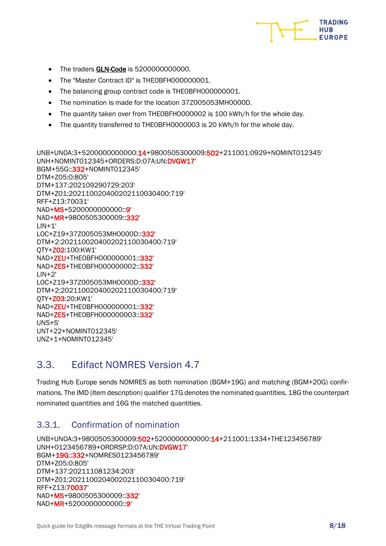

- The traders **GLN-Code** is 5200000000000.
- The "Master Contract ID" is THE0BFH000000001.
- The balancing group contract code is THE0BFH000000001.
- The nomination is made for the location 37Z005053MH0000D.
- The quantity taken over from THE0BFH0000002 is 100 kWh/h for the whole day.
- The quantity transferred to THE0BFH0000003 is 20 kWh/h for the whole day.

UNB+UNOA:3+5200000000000:14+9800505300009:502+211001:0929+NOMINT012345' UNH+NOMINT012345+ORDERS:D:07A:UN:DVGW17' BGM+55G::332+NOMINT012345' DTM+Z05:0:805' DTM+137:202109290729:203' DTM+Z01:202110020400202110030400:719' RFF+Z13:70031' NAD+MS+52000000000000::9' NAD+MR+9800505300009::332'  $LIN+1'$ LOC+Z19+37Z005053MH0000D::332' DTM+2:202110020400202110030400:719' QTY+Z02:100:KW1' NAD+ZEU+THE0BFH000000001::332' NAD+ZES+THE0BFH000000002::332'  $LIN+2'$ LOC+Z19+37Z005053MH0000D::332' DTM+2:202110020400202110030400:719' QTY+Z03:20:KW1' NAD+ZEU+THE0BFH000000001::332' NAD+ZES+THE0BFH000000003::332' UNS+S' UNT+22+NOMINT012345' UNZ+1+NOMINT012345'

# <span id="page-7-0"></span>3.3. Edifact NOMRES Version 4.7

Trading Hub Europe sends NOMRES as both nomination (BGM+19G) and matching (BGM+20G) confirmations. The IMD (Item description) qualifier 17G denotes the nominated quantities, 18G the counterpart nominated quantities and 16G the matched quantities.

#### <span id="page-7-1"></span>3.3.1. Confirmation of nomination

```
UNB+UNOA:3+9800505300009:502+5200000000000:14+211001:1334+THE123456789'
UNH+0123456789+ORDRSP:D:07A:UN:DVGW17'
BGM+19G::332+NOMRES0123456789'
DTM+Z05:0:805'
DTM+137:202111081234:203'
DTM+Z01:202110020400202110030400:719'
RFF+Z13:70037'
NAD+MS+9800505300009::332'
NAD+MR+52000000000000::9'
```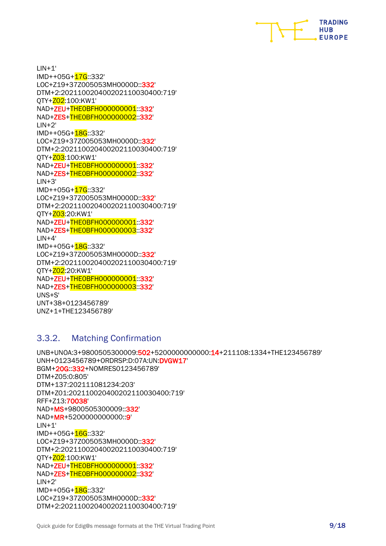

 $LIN+1'$ IMD++05G+17G::332' LOC+Z19+37Z005053MH0000D::332' DTM+2:202110020400202110030400:719' QTY+Z02:100:KW1' NAD+ZEU+THE0BFH000000001::332' NAD+ZES+THE0BFH000000002::332'  $LIN+2'$ IMD++05G+28G::332' LOC+Z19+37Z005053MH0000D::332' DTM+2:202110020400202110030400:719' 0TY+203:100:KW1' NAD+ZEU+THE0BFH000000001::332' NAD+ZES+THE0BFH000000002::332'  $LIN + 3'$ IMD++05G+17G::332' LOC+Z19+37Z005053MH0000D::332' DTM+2:202110020400202110030400:719' 0TY+203:20:KW1' NAD+ZEU+THE0BFH000000001::332' NAD+ZES+THE0BFH000000003::332'  $LIN+4'$ IMD++05G+18G::332' LOC+Z19+37Z005053MH0000D::332' DTM+2:202110020400202110030400:719' QTY+Z02:20:KW1' NAD+ZEU+THE0BFH000000001::332' NAD+ZES+THE0BFH000000003::332' UNS+S' UNT+38+0123456789' UNZ+1+THE123456789'

#### <span id="page-8-0"></span>3.3.2. Matching Confirmation

```
UNB+UNOA:3+9800505300009:502+5200000000000:14+211108:1334+THE123456789'
UNH+0123456789+ORDRSP:D:07A:UN:DVGW17'
BGM+20G::332+NOMRES0123456789'
DTM+Z05:0:805'
DTM+137:202111081234:203'
DTM+Z01:202110020400202110030400:719'
RFF+Z13:70038'
NAD+MS+9800505300009::332'
NAD+MR+5200000000000::9'
LIN+1'IMD++05G+16G::332'
LOC+Z19+37Z005053MH0000D::332'
DTM+2:202110020400202110030400:719'
QTY+Z02:100:KW1'
NAD+ZEU+THE0BFH000000001::332'
NAD+ZES+THE0BFH000000002::332'
LIN+2'IMD++05G+18G::332'
LOC+Z19+37Z005053MH0000D::332'
DTM+2:202110020400202110030400:719'
```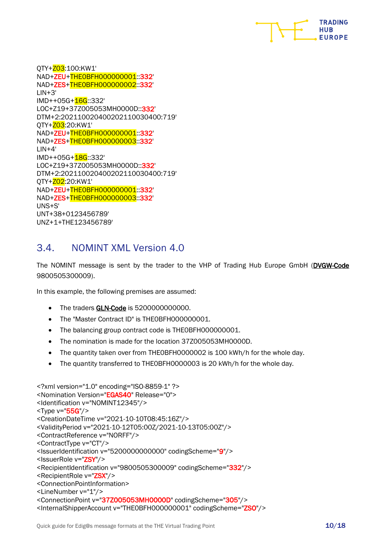

QTY+Z03:100:KW1' NAD+ZEU+THE0BFH000000001::332' NAD+ZES+THE0BFH000000002::332'  $LIN + 3'$ IMD++05G+16G::332' LOC+Z19+37Z005053MH0000D::332' DTM+2:202110020400202110030400:719' QTY+Z03:20:KW1' NAD+ZEU+THE0BFH000000001::332' NAD+ZES+THE0BFH000000003::332'  $LIN+4'$ IMD++05G+18G::332' LOC+Z19+37Z005053MH0000D::332' DTM+2:202110020400202110030400:719' 0TY+202:20:KW1' NAD+ZEU+THE0BFH000000001::332' NAD+ZES+THE0BFH000000003::332' UNS+S' UNT+38+0123456789' UNZ+1+THE123456789'

# <span id="page-9-0"></span>3.4. NOMINT XML Version 4.0

The NOMINT message is sent by the trader to the VHP of Trading Hub Europe GmbH (DVGW-Code 9800505300009).

In this example, the following premises are assumed:

- The traders GLN-Code is 5200000000000.
- The "Master Contract ID" is THEOBFH000000001.
- The balancing group contract code is THE0BFH000000001.
- The nomination is made for the location 37Z005053MH0000D.
- The quantity taken over from THE0BFH0000002 is 100 kWh/h for the whole day.
- The quantity transferred to THE0BFH0000003 is 20 kWh/h for the whole day.

```
<?xml version="1.0" encoding="ISO-8859-1" ?>
<Nomination Version="EGAS40" Release="0">
<Identification v="NOMINT12345"/>
<Type v="55G"/>
<CreationDateTime v="2021-10-10T08:45:16Z"/>
<ValidityPeriod v="2021-10-12T05:00Z/2021-10-13T05:00Z"/>
<ContractReference v="NORFF"/>
<ContractType v="CT"/>
<IssuerIdentification v="5200000000000" codingScheme="9"/>
<IssuerRole v="ZSY"/>
<RecipientIdentification v="9800505300009" codingScheme="332"/>
<RecipientRole v="ZSX"/>
<ConnectionPointInformation>
<LineNumber v="1"/>
<ConnectionPoint v="37Z005053MH0000D" codingScheme="305"/>
```

```
<InternalShipperAccount v="THE0BFH000000001" codingScheme="ZSO"/>
```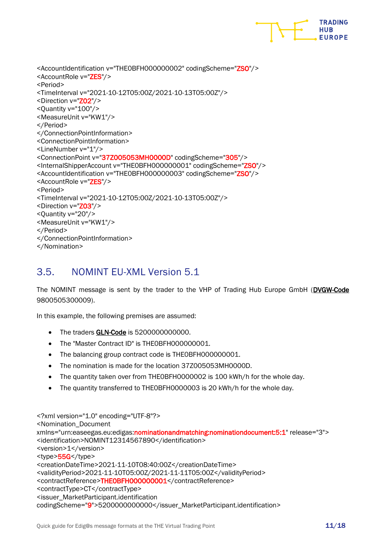

<AccountIdentification v="THE0BFH000000002" codingScheme="ZSO"/> <AccountRole v="ZES"/> <Period> <TimeInterval v="2021-10-12T05:00Z/2021-10-13T05:00Z"/> <Direction v="Z02"/> <Quantity v="100"/> <MeasureUnit v="KW1"/> </Period> </ConnectionPointInformation> <ConnectionPointInformation> <LineNumber v="1"/> <ConnectionPoint v="37Z005053MH0000D" codingScheme="305"/> <InternalShipperAccount v="THE0BFH000000001" codingScheme="ZSO"/> <AccountIdentification v="THE0BFH000000003" codingScheme="ZSO"/> <AccountRole v="ZES"/> <Period> <TimeInterval v="2021-10-12T05:00Z/2021-10-13T05:00Z"/> <Direction v="Z03"/> <Quantity v="20"/> <MeasureUnit v="KW1"/> </Period> </ConnectionPointInformation> </Nomination>

# <span id="page-10-0"></span>3.5. NOMINT EU-XML Version 5.1

The NOMINT message is sent by the trader to the VHP of Trading Hub Europe GmbH (DVGW-Code 9800505300009).

In this example, the following premises are assumed:

- The traders GLN-Code is 5200000000000.
- The "Master Contract ID" is THE0BFH000000001.
- The balancing group contract code is THE0BFH0000000001.
- The nomination is made for the location 37Z005053MH0000D.
- The quantity taken over from THE0BFH0000002 is 100 kWh/h for the whole day.
- The quantity transferred to THE0BFH0000003 is 20 kWh/h for the whole day.

<?xml version="1.0" encoding="UTF-8"?> <Nomination\_Document xmlns="urn:easeegas.eu:edigas:nominationandmatching:nominationdocument:5:1" release="3"> <identification>NOMINT12314567890</identification> <version>1</version> <type>55G</type> <creationDateTime>2021-11-10T08:40:00Z</creationDateTime> <validityPeriod>2021-11-10T05:00Z/2021-11-11T05:00Z</validityPeriod> <contractReference>THE0BFH000000001</contractReference> <contractType>CT</contractType> <issuer\_MarketParticipant.identification codingScheme="9">5200000000000</issuer\_MarketParticipant.identification>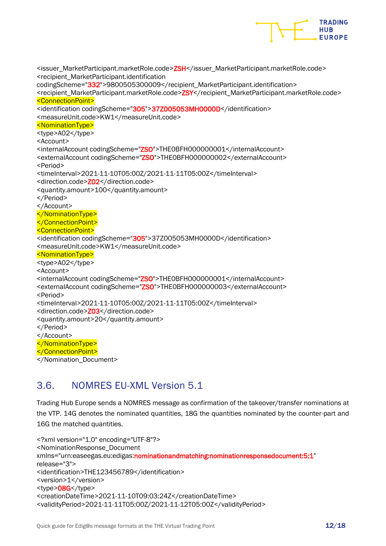

<issuer\_MarketParticipant.marketRole.code>ZSH</issuer\_MarketParticipant.marketRole.code> <recipient\_MarketParticipant.identification codingScheme="332">9800505300009</recipient\_MarketParticipant.identification> <recipient\_MarketParticipant.marketRole.code>ZSY</recipient\_MarketParticipant.marketRole.code> <ConnectionPoint> <identification codingScheme="305">37Z005053MH0000D</identification> <measureUnit.code>KW1</measureUnit.code> <NominationType> <type>A02</type> <Account> <internalAccount codingScheme="ZSO">THE0BFH000000001</internalAccount> <externalAccount codingScheme="ZSO">THE0BFH000000002</externalAccount> <Period> <timeInterval>2021-11-10T05:00Z/2021-11-11T05:00Z</timeInterval> <direction.code>Z02</direction.code> <quantity.amount>100</quantity.amount> </Period> </Account> </NominationType> </ConnectionPoint> <ConnectionPoint> <identification codingScheme="305">37Z005053MH0000D</identification> <measureUnit.code>KW1</measureUnit.code> <NominationType> <type>A02</type> <Account> <internalAccount codingScheme="ZSO">THE0BFH000000001</internalAccount> <externalAccount codingScheme="ZSO">THE0BFH000000003</externalAccount> <Period> <timeInterval>2021-11-10T05:00Z/2021-11-11T05:00Z</timeInterval> <direction.code>Z03</direction.code> <quantity.amount>20</quantity.amount> </Period> </Account> </NominationType> </ConnectionPoint> </Nomination\_Document>

# <span id="page-11-0"></span>3.6. NOMRES EU-XML Version 5.1

Trading Hub Europe sends a NOMRES message as confirmation of the takeover/transfer nominations at the VTP. 14G denotes the nominated quantities, 18G the quantities nominated by the counter-part and 16G the matched quantities.

```
<?xml version="1.0" encoding="UTF-8"?>
<NominationResponse_Document 
xmlns="urn:easeegas.eu:edigas:nominationandmatching:nominationresponsedocument:5:1" 
release="3">
<identification>THE123456789</identification>
<version>1</version>
<type>08G</type>
<creationDateTime>2021-11-10T09:03:24Z</creationDateTime>
<validityPeriod>2021-11-11T05:00Z/2021-11-12T05:00Z</validityPeriod>
```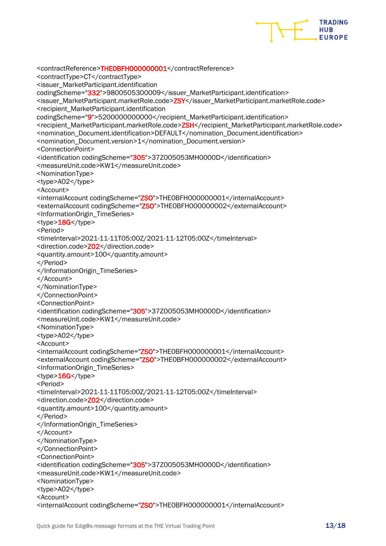

```
<contractReference>THE0BFH000000001</contractReference>
<contractType>CT</contractType>
<issuer_MarketParticipant.identification 
codingScheme="332">9800505300009</issuer_MarketParticipant.identification>
<issuer_MarketParticipant.marketRole.code>ZSY</issuer_MarketParticipant.marketRole.code>
<recipient_MarketParticipant.identification 
codingScheme="9">5200000000000</recipient_MarketParticipant.identification>
<recipient_MarketParticipant.marketRole.code>ZSH</recipient_MarketParticipant.marketRole.code>
<nomination_Document.identification>DEFAULT</nomination_Document.identification>
<nomination_Document.version>1</nomination_Document.version>
<ConnectionPoint>
<identification codingScheme="305">37Z005053MH0000D</identification>
<measureUnit.code>KW1</measureUnit.code>
<NominationType>
<type>A02</type>
<Account>
<internalAccount codingScheme="ZSO">THE0BFH000000001</internalAccount>
<externalAccount codingScheme="ZSO">THE0BFH000000002</externalAccount>
<InformationOrigin_TimeSeries>
<type>18G</type>
<Period>
<timeInterval>2021-11-11T05:00Z/2021-11-12T05:00Z</timeInterval>
<direction.code>Z02</direction.code>
<quantity.amount>100</quantity.amount>
</Period>
</InformationOrigin_TimeSeries>
</Account>
</NominationType>
</ConnectionPoint>
<ConnectionPoint>
<identification codingScheme="305">37Z005053MH0000D</identification>
<measureUnit.code>KW1</measureUnit.code>
<NominationType>
<type>A02</type>
<Account>
<internalAccount codingScheme="ZSO">THE0BFH000000001</internalAccount>
<externalAccount codingScheme="ZSO">THE0BFH000000002</externalAccount>
<InformationOrigin_TimeSeries>
<type>16G</type>
<Period>
<timeInterval>2021-11-11T05:00Z/2021-11-12T05:00Z</timeInterval>
<direction.code>Z02</direction.code>
<quantity.amount>100</quantity.amount>
</Period>
</InformationOrigin_TimeSeries>
</Account>
</NominationType>
</ConnectionPoint>
<ConnectionPoint>
<identification codingScheme="305">37Z005053MH0000D</identification>
<measureUnit.code>KW1</measureUnit.code>
<NominationType>
<type>A02</type>
<Account>
<internalAccount codingScheme="ZSO">THE0BFH000000001</internalAccount>
```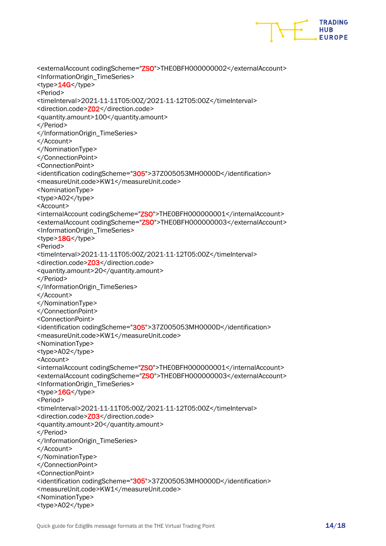

```
<externalAccount codingScheme="ZSO">THE0BFH000000002</externalAccount>
<InformationOrigin_TimeSeries>
<type>14G</type>
<Period>
<timeInterval>2021-11-11T05:00Z/2021-11-12T05:00Z</timeInterval>
<direction.code>Z02</direction.code>
<quantity.amount>100</quantity.amount>
</Period>
</InformationOrigin_TimeSeries>
</Account>
</NominationType>
</ConnectionPoint>
<ConnectionPoint>
<identification codingScheme="305">37Z005053MH0000D</identification>
<measureUnit.code>KW1</measureUnit.code>
<NominationType>
<type>A02</type>
<Account>
<internalAccount codingScheme="ZSO">THE0BFH000000001</internalAccount>
<externalAccount codingScheme="ZSO">THE0BFH000000003</externalAccount>
<InformationOrigin_TimeSeries>
<type>18G</type>
<Period>
<timeInterval>2021-11-11T05:00Z/2021-11-12T05:00Z</timeInterval>
<direction.code>Z03</direction.code>
<quantity.amount>20</quantity.amount>
</Period>
</InformationOrigin_TimeSeries>
</Account>
</NominationType>
</ConnectionPoint>
<ConnectionPoint>
<identification codingScheme="305">37Z005053MH0000D</identification>
<measureUnit.code>KW1</measureUnit.code>
<NominationType>
<type>A02</type>
<Account>
<internalAccount codingScheme="ZSO">THE0BFH000000001</internalAccount>
<externalAccount codingScheme="ZSO">THE0BFH000000003</externalAccount>
<InformationOrigin_TimeSeries>
<type>16G</type>
<Period>
<timeInterval>2021-11-11T05:00Z/2021-11-12T05:00Z</timeInterval>
<direction.code>Z03</direction.code>
<quantity.amount>20</quantity.amount>
</Period>
</InformationOrigin_TimeSeries>
</Account>
</NominationType>
</ConnectionPoint>
<ConnectionPoint>
<identification codingScheme="305">37Z005053MH0000D</identification>
<measureUnit.code>KW1</measureUnit.code>
<NominationType>
<type>A02</type>
```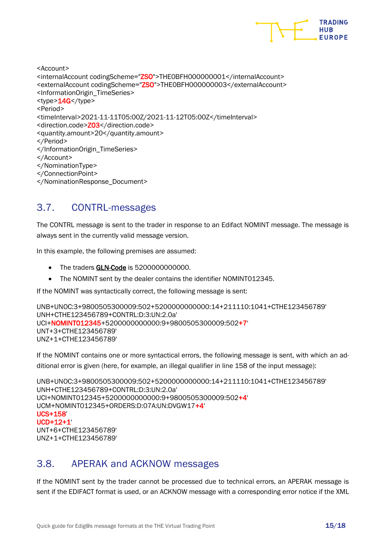

<Account> <internalAccount codingScheme="ZSO">THE0BFH000000001</internalAccount> <externalAccount codingScheme="ZSO">THE0BFH000000003</externalAccount> <InformationOrigin\_TimeSeries> <type>14G</type> <Period> <timeInterval>2021-11-11T05:00Z/2021-11-12T05:00Z</timeInterval> <direction.code>Z03</direction.code> <quantity.amount>20</quantity.amount> </Period> </InformationOrigin\_TimeSeries> </Account> </NominationType> </ConnectionPoint> </NominationResponse\_Document>

# <span id="page-14-0"></span>3.7. CONTRL-messages

The CONTRL message is sent to the trader in response to an Edifact NOMINT message. The message is always sent in the currently valid message version.

In this example, the following premises are assumed:

- The traders **GLN-Code** is 5200000000000.
- The NOMINT sent by the dealer contains the identifier NOMINT012345.

If the NOMINT was syntactically correct, the following message is sent:

```
UNB+UNOC:3+9800505300009:502+5200000000000:14+211110:1041+CTHE123456789'
UNH+CTHE123456789+CONTRL:D:3:UN:2.0a'
UCI+NOMINT012345+5200000000000:9+9800505300009:502+7'
UNT+3+CTHE123456789'
UNZ+1+CTHE123456789'
```
If the NOMINT contains one or more syntactical errors, the following message is sent, with which an additional error is given (here, for example, an illegal qualifier in line 158 of the input message):

```
UNB+UNOC:3+9800505300009:502+5200000000000:14+211110:1041+CTHE123456789'
UNH+CTHE123456789+CONTRL:D:3:UN:2.0a'
UCI+NOMINT012345+5200000000000:9+9800505300009:502+4'
UCM+NOMINT012345+ORDERS:D:07A:UN:DVGW17+4'
UCS+158'
UCD+12+1'
UNT+6+CTHE123456789'
```
<span id="page-14-1"></span>UNZ+1+CTHE123456789'

# 3.8. APERAK and ACKNOW messages

If the NOMINT sent by the trader cannot be processed due to technical errors, an APERAK message is sent if the EDIFACT format is used, or an ACKNOW message with a corresponding error notice if the XML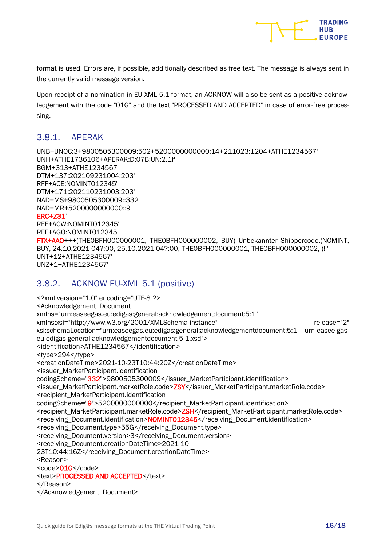

format is used. Errors are, if possible, additionally described as free text. The message is always sent in the currently valid message version.

Upon receipt of a nomination in EU-XML 5.1 format, an ACKNOW will also be sent as a positive acknowledgement with the code "01G" and the text "PROCESSED AND ACCEPTED" in case of error-free processing.

#### <span id="page-15-0"></span>3.8.1. APERAK

UNB+UNOC:3+9800505300009:502+5200000000000:14+211023:1204+ATHE1234567' UNH+ATHE1736106+APERAK:D:07B:UN:2.1f' BGM+313+ATHE1234567' DTM+137:202109231004:203' RFF+ACE:NOMINT012345' DTM+171:202110231003:203' NAD+MS+9800505300009::332' NAD+MR+5200000000000::9' ERC+Z31' RFF+ACW:NOMINT012345' RFF+AGO:NOMINT012345' FTX+AAO+++(THE0BFH000000001, THE0BFH000000002, BUY) Unbekannter Shippercode.(NOMINT, BUY, 24.10.2021 04?:00, 25.10.2021 04?:00, THE0BFH000000001, THE0BFH000000002, )! ' UNT+12+ATHE1234567' UNZ+1+ATHE1234567'

#### <span id="page-15-1"></span>3.8.2. ACKNOW EU-XML 5.1 (positive)

<?xml version="1.0" encoding="UTF-8"?> <Acknowledgement\_Document xmlns="urn:easeegas.eu:edigas:general:acknowledgementdocument:5:1" xmlns:xsi="http://www.w3.org/2001/XMLSchema-instance" release="2" xsi:schemaLocation="urn:easeegas.eu:edigas:general:acknowledgementdocument:5:1 urn-easee-gaseu-edigas-general-acknowledgementdocument-5-1.xsd"> <identification>ATHE1234567</identification> <type>294</type> <creationDateTime>2021-10-23T10:44:20Z</creationDateTime> <issuer\_MarketParticipant.identification codingScheme="332">9800505300009</issuer\_MarketParticipant.identification> <issuer\_MarketParticipant.marketRole.code>ZSY</issuer\_MarketParticipant.marketRole.code> <recipient\_MarketParticipant.identification codingScheme="9">5200000000000</recipient\_MarketParticipant.identification> <recipient\_MarketParticipant.marketRole.code>ZSH</recipient\_MarketParticipant.marketRole.code> <receiving\_Document.identification>NOMINT012345</receiving\_Document.identification> <receiving\_Document.type>55G</receiving\_Document.type> <receiving\_Document.version>3</receiving\_Document.version> <receiving\_Document.creationDateTime>2021-10- 23T10:44:16Z</receiving\_Document.creationDateTime> <Reason> <code>01G</code> <text>PROCESSED AND ACCEPTED</text> </Reason> </Acknowledgement\_Document>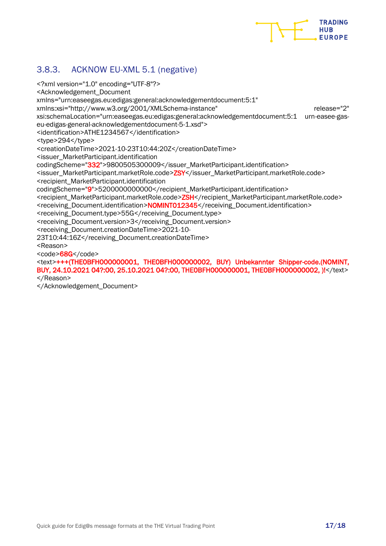

### <span id="page-16-0"></span>3.8.3. ACKNOW EU-XML 5.1 (negative)

<?xml version="1.0" encoding="UTF-8"?> <Acknowledgement\_Document xmlns="urn:easeegas.eu:edigas:general:acknowledgementdocument:5:1" xmlns:xsi="http://www.w3.org/2001/XMLSchema-instance" release="2" xsi:schemaLocation="urn:easeegas.eu:edigas:general:acknowledgementdocument:5:1 urn-easee-gaseu-edigas-general-acknowledgementdocument-5-1.xsd"> <identification>ATHE1234567</identification> <type>294</type> <creationDateTime>2021-10-23T10:44:20Z</creationDateTime> <issuer\_MarketParticipant.identification codingScheme="332">9800505300009</issuer\_MarketParticipant.identification> <issuer\_MarketParticipant.marketRole.code>ZSY</issuer\_MarketParticipant.marketRole.code> <recipient\_MarketParticipant.identification codingScheme="9">5200000000000</recipient\_MarketParticipant.identification> <recipient\_MarketParticipant.marketRole.code>ZSH</recipient\_MarketParticipant.marketRole.code> <receiving\_Document.identification>NOMINT012345</receiving\_Document.identification> <receiving\_Document.type>55G</receiving\_Document.type> <receiving\_Document.version>3</receiving\_Document.version> <receiving\_Document.creationDateTime>2021-10- 23T10:44:16Z</receiving\_Document.creationDateTime> <Reason> <code>68G</code> <text>+++(THE0BFH000000001, THE0BFH000000002, BUY) Unbekannter Shipper-code.(NOMINT,

BUY, 24.10.2021 04?:00, 25.10.2021 04?:00, THE0BFH000000001, THE0BFH000000002, )!</text> </Reason>

</Acknowledgement\_Document>